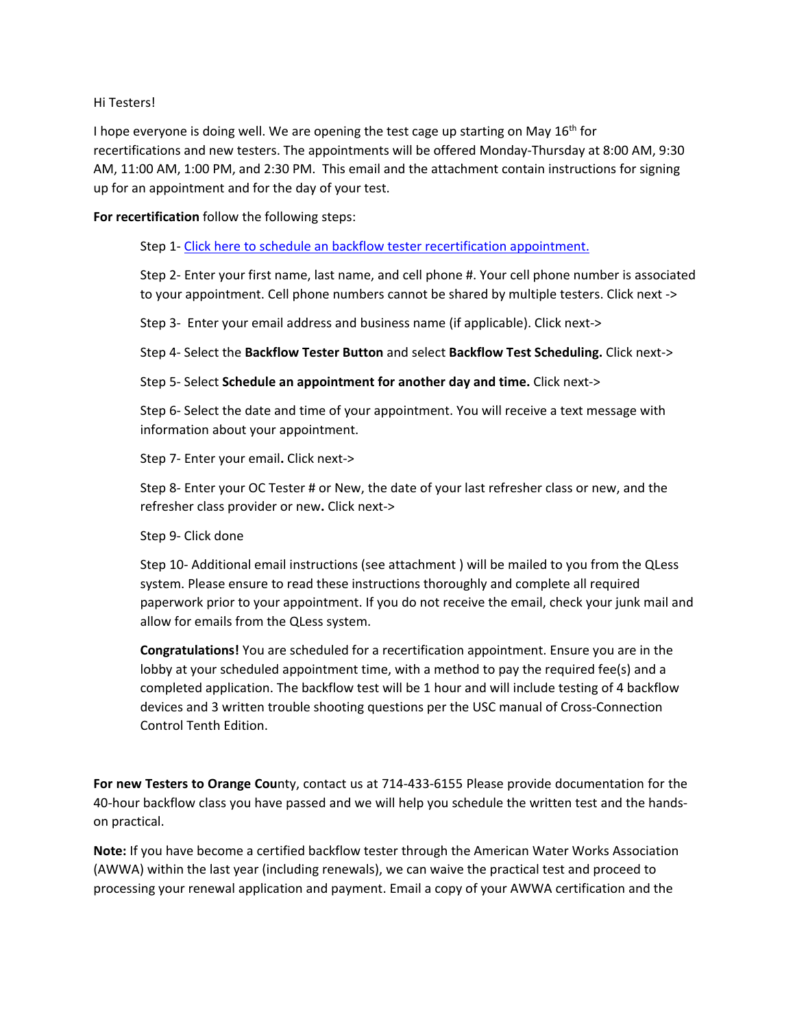## Hi Testers!

I hope everyone is doing well. We are opening the test cage up starting on May  $16^{th}$  for recertifications and new testers. The appointments will be offered Monday-Thursday at 8:00 AM, 9:30 AM, 11:00 AM, 1:00 PM, and 2:30 PM. This email and the attachment contain instructions for signing up for an appointment and for the day of your test.

**For recertification** follow the following steps:

Step 1- [Click here to schedule an backflow tester recertification appointment.](https://kiosk.na6.qless.com/kiosk/app/home/125)

Step 2- Enter your first name, last name, and cell phone #. Your cell phone number is associated to your appointment. Cell phone numbers cannot be shared by multiple testers. Click next ->

Step 3- Enter your email address and business name (if applicable). Click next->

Step 4- Select the **Backflow Tester Button** and select **Backflow Test Scheduling.** Click next->

Step 5- Select **Schedule an appointment for another day and time.** Click next->

Step 6- Select the date and time of your appointment. You will receive a text message with information about your appointment.

Step 7- Enter your email**.** Click next->

Step 8- Enter your OC Tester # or New, the date of your last refresher class or new, and the refresher class provider or new**.** Click next->

Step 9- Click done

Step 10- Additional email instructions (see attachment ) will be mailed to you from the QLess system. Please ensure to read these instructions thoroughly and complete all required paperwork prior to your appointment. If you do not receive the email, check your junk mail and allow for emails from the QLess system.

**Congratulations!** You are scheduled for a recertification appointment. Ensure you are in the lobby at your scheduled appointment time, with a method to pay the required fee(s) and a completed application. The backflow test will be 1 hour and will include testing of 4 backflow devices and 3 written trouble shooting questions per the USC manual of Cross-Connection Control Tenth Edition.

**For new Testers to Orange Cou**nty, contact us at 714-433-6155 Please provide documentation for the 40-hour backflow class you have passed and we will help you schedule the written test and the handson practical.

**Note:** If you have become a certified backflow tester through the American Water Works Association (AWWA) within the last year (including renewals), we can waive the practical test and proceed to processing your renewal application and payment. Email a copy of your AWWA certification and the